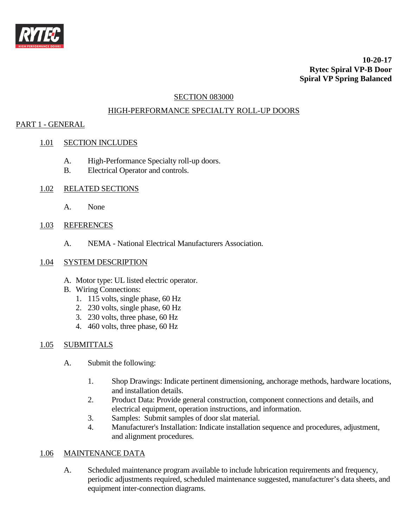

**10-20-17 Rytec Spiral VP-B Door Spiral VP Spring Balanced**

## SECTION 083000

# HIGH-PERFORMANCE SPECIALTY ROLL-UP DOORS

# PART 1 - GENERAL

## 1.01 SECTION INCLUDES

- A. High-Performance Specialty roll-up doors.
- B. Electrical Operator and controls.
- 1.02 RELATED SECTIONS
	- A. None

## 1.03 REFERENCES

A. NEMA - National Electrical Manufacturers Association.

## 1.04 SYSTEM DESCRIPTION

- A. Motor type: UL listed electric operator.
- B. Wiring Connections:
	- 1. 115 volts, single phase, 60 Hz
	- 2. 230 volts, single phase, 60 Hz
	- 3. 230 volts, three phase, 60 Hz
	- 4. 460 volts, three phase, 60 Hz

## 1.05 SUBMITTALS

- A. Submit the following:
	- 1. Shop Drawings: Indicate pertinent dimensioning, anchorage methods, hardware locations, and installation details.
	- 2. Product Data: Provide general construction, component connections and details, and electrical equipment, operation instructions, and information.
	- 3. Samples: Submit samples of door slat material.
	- 4. Manufacturer's Installation: Indicate installation sequence and procedures, adjustment, and alignment procedures.

## 1.06 MAINTENANCE DATA

A. Scheduled maintenance program available to include lubrication requirements and frequency, periodic adjustments required, scheduled maintenance suggested, manufacturer's data sheets, and equipment inter-connection diagrams.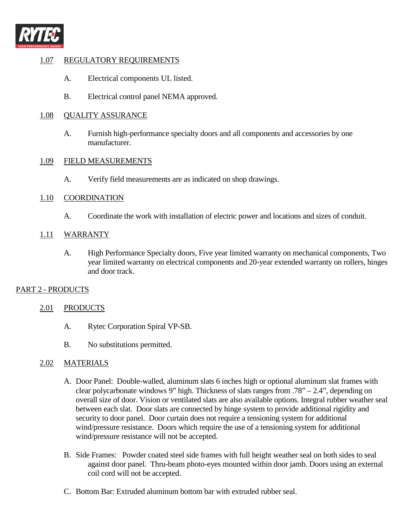

# 1.07 REGULATORY REQUIREMENTS

- A. Electrical components UL listed.
- B. Electrical control panel NEMA approved.

## 1.08 QUALITY ASSURANCE

A. Furnish high-performance specialty doors and all components and accessories by one manufacturer.

## 1.09 FIELD MEASUREMENTS

A. Verify field measurements are as indicated on shop drawings.

## 1.10 COORDINATION

A. Coordinate the work with installation of electric power and locations and sizes of conduit.

# 1.11 WARRANTY

A. High Performance Specialty doors, Five year limited warranty on mechanical components, Two year limited warranty on electrical components and 20-year extended warranty on rollers, hinges and door track.

# PART 2 - PRODUCTS

# 2.01 PRODUCTS

- A. Rytec Corporation Spiral VP-SB.
- B. No substitutions permitted.

# 2.02 MATERIALS

- A. Door Panel: Double-walled, aluminum slats 6 inches high or optional aluminum slat frames with clear polycarbonate windows 9" high. Thickness of slats ranges from .78" – 2.4", depending on overall size of door. Vision or ventilated slats are also available options. Integral rubber weather seal between each slat. Door slats are connected by hinge system to provide additional rigidity and security to door panel. Door curtain does not require a tensioning system for additional wind/pressure resistance. Doors which require the use of a tensioning system for additional wind/pressure resistance will not be accepted.
- B. Side Frames: Powder coated steel side frames with full height weather seal on both sides to seal against door panel. Thru-beam photo-eyes mounted within door jamb. Doors using an external coil cord will not be accepted.
- C. Bottom Bar: Extruded aluminum bottom bar with extruded rubber seal.